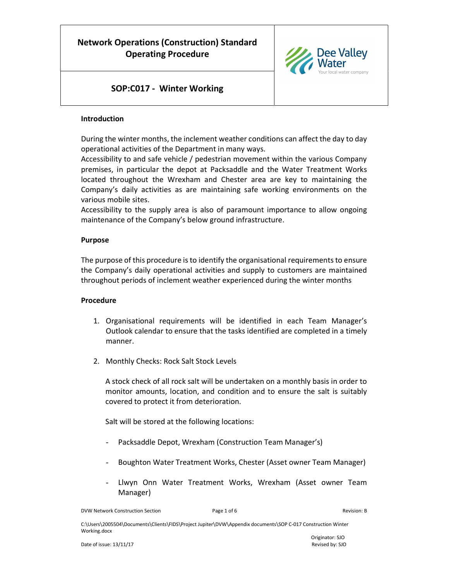

### SOP:C017 - Winter Working

#### Introduction

During the winter months, the inclement weather conditions can affect the day to day operational activities of the Department in many ways.

Accessibility to and safe vehicle / pedestrian movement within the various Company premises, in particular the depot at Packsaddle and the Water Treatment Works located throughout the Wrexham and Chester area are key to maintaining the Company's daily activities as are maintaining safe working environments on the various mobile sites.

Accessibility to the supply area is also of paramount importance to allow ongoing maintenance of the Company's below ground infrastructure.

#### Purpose

The purpose of this procedure is to identify the organisational requirements to ensure the Company's daily operational activities and supply to customers are maintained throughout periods of inclement weather experienced during the winter months

#### Procedure

- 1. Organisational requirements will be identified in each Team Manager's Outlook calendar to ensure that the tasks identified are completed in a timely manner.
- 2. Monthly Checks: Rock Salt Stock Levels

A stock check of all rock salt will be undertaken on a monthly basis in order to monitor amounts, location, and condition and to ensure the salt is suitably covered to protect it from deterioration.

Salt will be stored at the following locations:

- Packsaddle Depot, Wrexham (Construction Team Manager's)
- Boughton Water Treatment Works, Chester (Asset owner Team Manager)
- Llwyn Onn Water Treatment Works, Wrexham (Asset owner Team Manager)

DVW Network Construction Section **Page 1 of 6** Page 1 of 6 Revision: B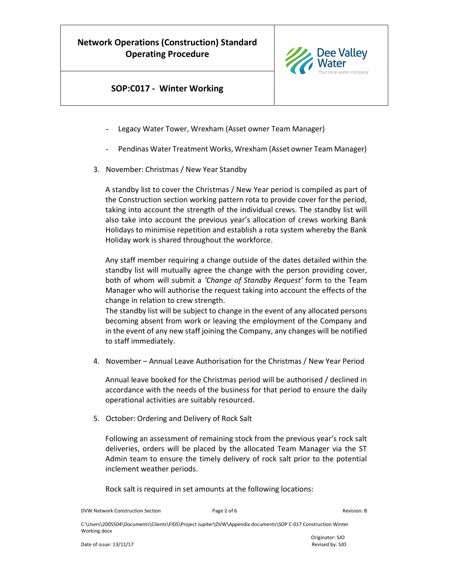

### SOP:C017 - Winter Working

- Legacy Water Tower, Wrexham (Asset owner Team Manager)
- Pendinas Water Treatment Works, Wrexham (Asset owner Team Manager)
- 3. November: Christmas / New Year Standby

A standby list to cover the Christmas / New Year period is compiled as part of the Construction section working pattern rota to provide cover for the period, taking into account the strength of the individual crews. The standby list will also take into account the previous year's allocation of crews working Bank Holidays to minimise repetition and establish a rota system whereby the Bank Holiday work is shared throughout the workforce.

Any staff member requiring a change outside of the dates detailed within the standby list will mutually agree the change with the person providing cover, both of whom will submit a 'Change of Standby Request' form to the Team Manager who will authorise the request taking into account the effects of the change in relation to crew strength.

The standby list will be subject to change in the event of any allocated persons becoming absent from work or leaving the employment of the Company and in the event of any new staff joining the Company, any changes will be notified to staff immediately.

4. November – Annual Leave Authorisation for the Christmas / New Year Period

Annual leave booked for the Christmas period will be authorised / declined in accordance with the needs of the business for that period to ensure the daily operational activities are suitably resourced.

5. October: Ordering and Delivery of Rock Salt

Following an assessment of remaining stock from the previous year's rock salt deliveries, orders will be placed by the allocated Team Manager via the ST Admin team to ensure the timely delivery of rock salt prior to the potential inclement weather periods.

Rock salt is required in set amounts at the following locations:

DVW Network Construction Section **Page 2 of 6** Page 2 of 6 Revision: B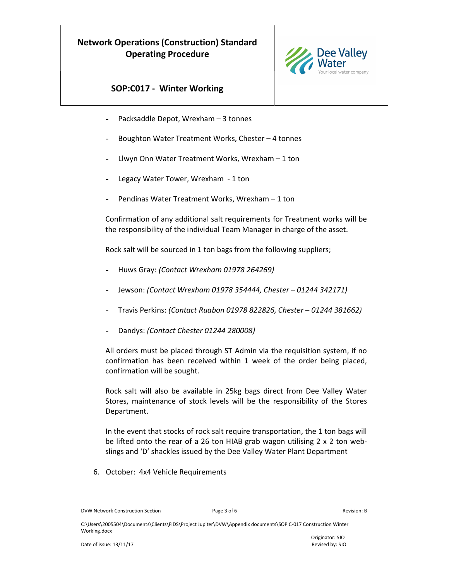

## SOP:C017 - Winter Working

- Packsaddle Depot, Wrexham 3 tonnes
- Boughton Water Treatment Works, Chester 4 tonnes
- Llwyn Onn Water Treatment Works, Wrexham  $-1$  ton
- Legacy Water Tower, Wrexham 1 ton
- Pendinas Water Treatment Works, Wrexham 1 ton

Confirmation of any additional salt requirements for Treatment works will be the responsibility of the individual Team Manager in charge of the asset.

Rock salt will be sourced in 1 ton bags from the following suppliers;

- Huws Gray: (Contact Wrexham 01978 264269)
- Jewson: (Contact Wrexham 01978 354444, Chester 01244 342171)
- Travis Perkins: (Contact Ruabon 01978 822826, Chester 01244 381662)
- Dandys: (Contact Chester 01244 280008)

All orders must be placed through ST Admin via the requisition system, if no confirmation has been received within 1 week of the order being placed, confirmation will be sought.

Rock salt will also be available in 25kg bags direct from Dee Valley Water Stores, maintenance of stock levels will be the responsibility of the Stores Department.

In the event that stocks of rock salt require transportation, the 1 ton bags will be lifted onto the rear of a 26 ton HIAB grab wagon utilising 2 x 2 ton webslings and 'D' shackles issued by the Dee Valley Water Plant Department

6. October: 4x4 Vehicle Requirements

DVW Network Construction Section **Page 3 of 6** Page 3 of 6 Revision: B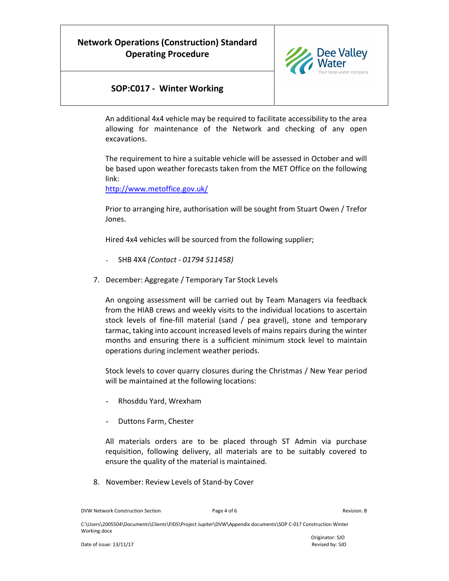

### SOP:C017 - Winter Working

An additional 4x4 vehicle may be required to facilitate accessibility to the area allowing for maintenance of the Network and checking of any open excavations.

The requirement to hire a suitable vehicle will be assessed in October and will be based upon weather forecasts taken from the MET Office on the following link:

http://www.metoffice.gov.uk/

Prior to arranging hire, authorisation will be sought from Stuart Owen / Trefor Jones.

Hired 4x4 vehicles will be sourced from the following supplier;

- SHB 4X4 (Contact 01794 511458)
- 7. December: Aggregate / Temporary Tar Stock Levels

An ongoing assessment will be carried out by Team Managers via feedback from the HIAB crews and weekly visits to the individual locations to ascertain stock levels of fine-fill material (sand / pea gravel), stone and temporary tarmac, taking into account increased levels of mains repairs during the winter months and ensuring there is a sufficient minimum stock level to maintain operations during inclement weather periods.

Stock levels to cover quarry closures during the Christmas / New Year period will be maintained at the following locations:

- Rhosddu Yard, Wrexham
- Duttons Farm, Chester

All materials orders are to be placed through ST Admin via purchase requisition, following delivery, all materials are to be suitably covered to ensure the quality of the material is maintained.

8. November: Review Levels of Stand-by Cover

DVW Network Construction Section **Page 4 of 6** Page 4 of 6 **Revision: B** Revision: B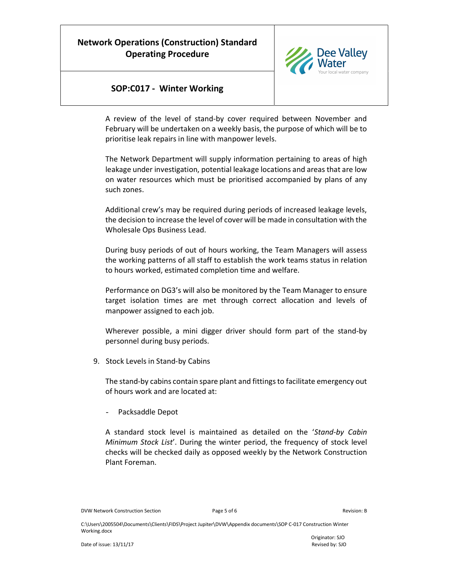

### SOP:C017 - Winter Working

A review of the level of stand-by cover required between November and February will be undertaken on a weekly basis, the purpose of which will be to prioritise leak repairs in line with manpower levels.

The Network Department will supply information pertaining to areas of high leakage under investigation, potential leakage locations and areas that are low on water resources which must be prioritised accompanied by plans of any such zones.

Additional crew's may be required during periods of increased leakage levels, the decision to increase the level of cover will be made in consultation with the Wholesale Ops Business Lead.

During busy periods of out of hours working, the Team Managers will assess the working patterns of all staff to establish the work teams status in relation to hours worked, estimated completion time and welfare.

Performance on DG3's will also be monitored by the Team Manager to ensure target isolation times are met through correct allocation and levels of manpower assigned to each job.

Wherever possible, a mini digger driver should form part of the stand-by personnel during busy periods.

9. Stock Levels in Stand-by Cabins

The stand-by cabins contain spare plant and fittings to facilitate emergency out of hours work and are located at:

Packsaddle Depot

A standard stock level is maintained as detailed on the 'Stand-by Cabin Minimum Stock List'. During the winter period, the frequency of stock level checks will be checked daily as opposed weekly by the Network Construction Plant Foreman.

DVW Network Construction Section **Page 5 of 6** Page 5 of 6 Revision: B